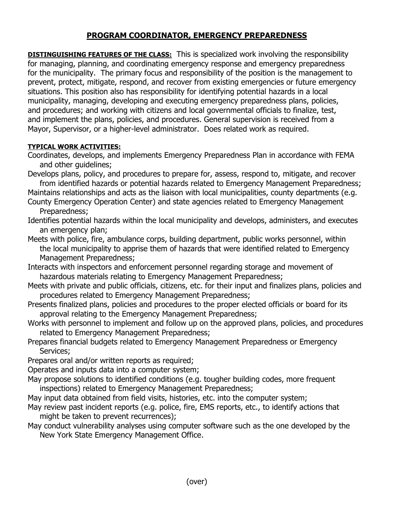# **PROGRAM COORDINATOR, EMERGENCY PREPAREDNESS**

**DISTINGUISHING FEATURES OF THE CLASS:** This is specialized work involving the responsibility for managing, planning, and coordinating emergency response and emergency preparedness for the municipality. The primary focus and responsibility of the position is the management to prevent, protect, mitigate, respond, and recover from existing emergencies or future emergency situations. This position also has responsibility for identifying potential hazards in a local municipality, managing, developing and executing emergency preparedness plans, policies, and procedures; and working with citizens and local governmental officials to finalize, test, and implement the plans, policies, and procedures. General supervision is received from a Mayor, Supervisor, or a higher-level administrator. Does related work as required.

## **TYPICAL WORK ACTIVITIES:**

Coordinates, develops, and implements Emergency Preparedness Plan in accordance with FEMA and other guidelines;

Develops plans, policy, and procedures to prepare for, assess, respond to, mitigate, and recover from identified hazards or potential hazards related to Emergency Management Preparedness;

Maintains relationships and acts as the liaison with local municipalities, county departments (e.g.

County Emergency Operation Center) and state agencies related to Emergency Management Preparedness;

Identifies potential hazards within the local municipality and develops, administers, and executes an emergency plan;

Meets with police, fire, ambulance corps, building department, public works personnel, within the local municipality to apprise them of hazards that were identified related to Emergency Management Preparedness;

Interacts with inspectors and enforcement personnel regarding storage and movement of hazardous materials relating to Emergency Management Preparedness;

- Meets with private and public officials, citizens, etc. for their input and finalizes plans, policies and procedures related to Emergency Management Preparedness;
- Presents finalized plans, policies and procedures to the proper elected officials or board for its approval relating to the Emergency Management Preparedness;
- Works with personnel to implement and follow up on the approved plans, policies, and procedures related to Emergency Management Preparedness;
- Prepares financial budgets related to Emergency Management Preparedness or Emergency Services;
- Prepares oral and/or written reports as required;

Operates and inputs data into a computer system;

- May propose solutions to identified conditions (e.g. tougher building codes, more frequent inspections) related to Emergency Management Preparedness;
- May input data obtained from field visits, histories, etc. into the computer system;
- May review past incident reports (e.g. police, fire, EMS reports, etc., to identify actions that might be taken to prevent recurrences);
- May conduct vulnerability analyses using computer software such as the one developed by the New York State Emergency Management Office.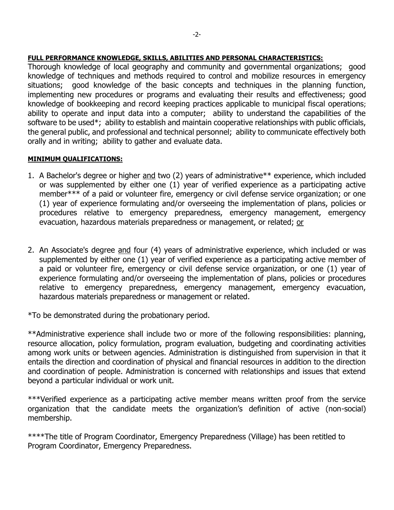### **FULL PERFORMANCE KNOWLEDGE, SKILLS, ABILITIES AND PERSONAL CHARACTERISTICS:**

Thorough knowledge of local geography and community and governmental organizations; good knowledge of techniques and methods required to control and mobilize resources in emergency situations; good knowledge of the basic concepts and techniques in the planning function, implementing new procedures or programs and evaluating their results and effectiveness; good knowledge of bookkeeping and record keeping practices applicable to municipal fiscal operations; ability to operate and input data into a computer; ability to understand the capabilities of the software to be used\*; ability to establish and maintain cooperative relationships with public officials, the general public, and professional and technical personnel; ability to communicate effectively both orally and in writing; ability to gather and evaluate data.

### **MINIMUM QUALIFICATIONS:**

- 1. A Bachelor's degree or higher and two (2) years of administrative<sup>\*\*</sup> experience, which included or was supplemented by either one (1) year of verified experience as a participating active member\*\*\* of a paid or volunteer fire, emergency or civil defense service organization; or one (1) year of experience formulating and/or overseeing the implementation of plans, policies or procedures relative to emergency preparedness, emergency management, emergency evacuation, hazardous materials preparedness or management, or related; or
- 2. An Associate's degree and four (4) years of administrative experience, which included or was supplemented by either one (1) year of verified experience as a participating active member of a paid or volunteer fire, emergency or civil defense service organization, or one (1) year of experience formulating and/or overseeing the implementation of plans, policies or procedures relative to emergency preparedness, emergency management, emergency evacuation, hazardous materials preparedness or management or related.

\*To be demonstrated during the probationary period.

\*\*Administrative experience shall include two or more of the following responsibilities: planning, resource allocation, policy formulation, program evaluation, budgeting and coordinating activities among work units or between agencies. Administration is distinguished from supervision in that it entails the direction and coordination of physical and financial resources in addition to the direction and coordination of people. Administration is concerned with relationships and issues that extend beyond a particular individual or work unit.

\*\*\*Verified experience as a participating active member means written proof from the service organization that the candidate meets the organization's definition of active (non-social) membership.

\*\*\*\*The title of Program Coordinator, Emergency Preparedness (Village) has been retitled to Program Coordinator, Emergency Preparedness.